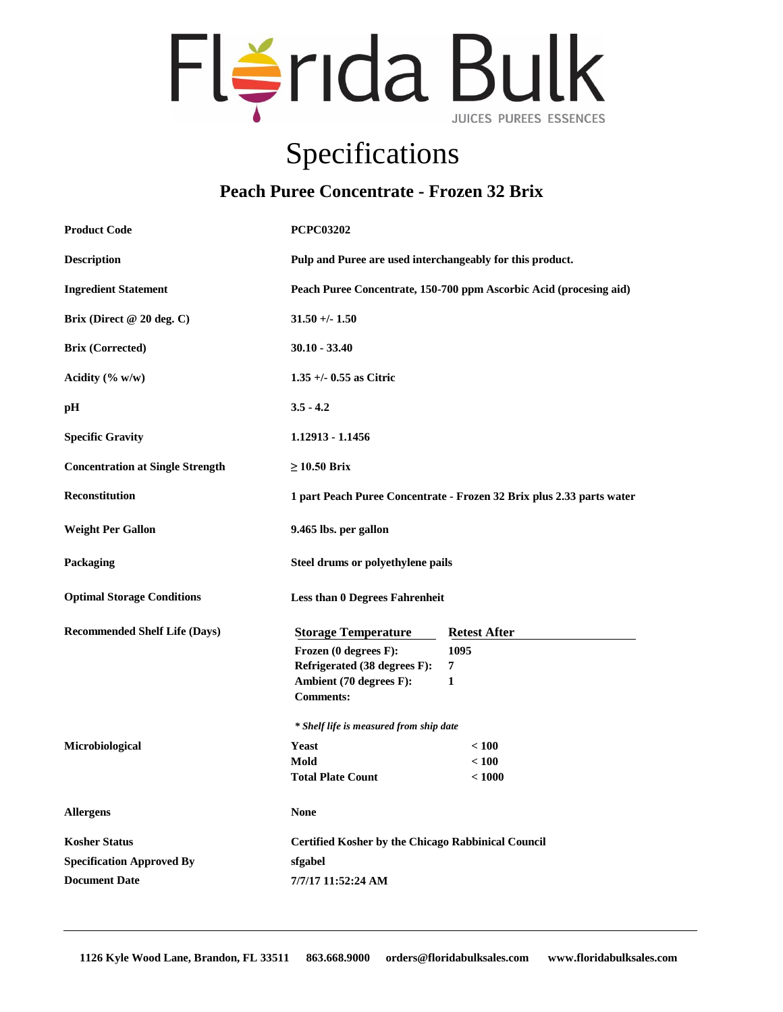

## Specifications

## **Peach Puree Concentrate - Frozen 32 Brix**

| <b>Product Code</b>                     | <b>PCPC03202</b>                                                                    |                                  |
|-----------------------------------------|-------------------------------------------------------------------------------------|----------------------------------|
| <b>Description</b>                      | Pulp and Puree are used interchangeably for this product.                           |                                  |
| <b>Ingredient Statement</b>             | Peach Puree Concentrate, 150-700 ppm Ascorbic Acid (procesing aid)                  |                                  |
| Brix (Direct $@20$ deg. C)              | $31.50 + - 1.50$                                                                    |                                  |
| <b>Brix (Corrected)</b>                 | $30.10 - 33.40$                                                                     |                                  |
| Acidity $(\% w/w)$                      | $1.35 + (-0.55$ as Citric                                                           |                                  |
| pН                                      | $3.5 - 4.2$                                                                         |                                  |
| <b>Specific Gravity</b>                 | 1.12913 - 1.1456                                                                    |                                  |
| <b>Concentration at Single Strength</b> | $\geq$ 10.50 Brix                                                                   |                                  |
| <b>Reconstitution</b>                   | 1 part Peach Puree Concentrate - Frozen 32 Brix plus 2.33 parts water               |                                  |
| <b>Weight Per Gallon</b>                | 9.465 lbs. per gallon                                                               |                                  |
| Packaging                               | Steel drums or polyethylene pails                                                   |                                  |
| <b>Optimal Storage Conditions</b>       | <b>Less than 0 Degrees Fahrenheit</b>                                               |                                  |
| <b>Recommended Shelf Life (Days)</b>    | <b>Storage Temperature</b><br>Frozen (0 degrees F):<br>Refrigerated (38 degrees F): | <b>Retest After</b><br>1095<br>7 |
|                                         | Ambient (70 degrees F):<br><b>Comments:</b>                                         | 1                                |
|                                         | * Shelf life is measured from ship date                                             |                                  |
| Microbiological                         | Yeast                                                                               | < 100                            |
|                                         | Mold                                                                                | < 100                            |
|                                         | <b>Total Plate Count</b>                                                            | < 1000                           |
| <b>Allergens</b>                        | <b>None</b>                                                                         |                                  |
| <b>Kosher Status</b>                    | <b>Certified Kosher by the Chicago Rabbinical Council</b>                           |                                  |
| <b>Specification Approved By</b>        | sfgabel                                                                             |                                  |
| <b>Document Date</b>                    | 7/7/17 11:52:24 AM                                                                  |                                  |